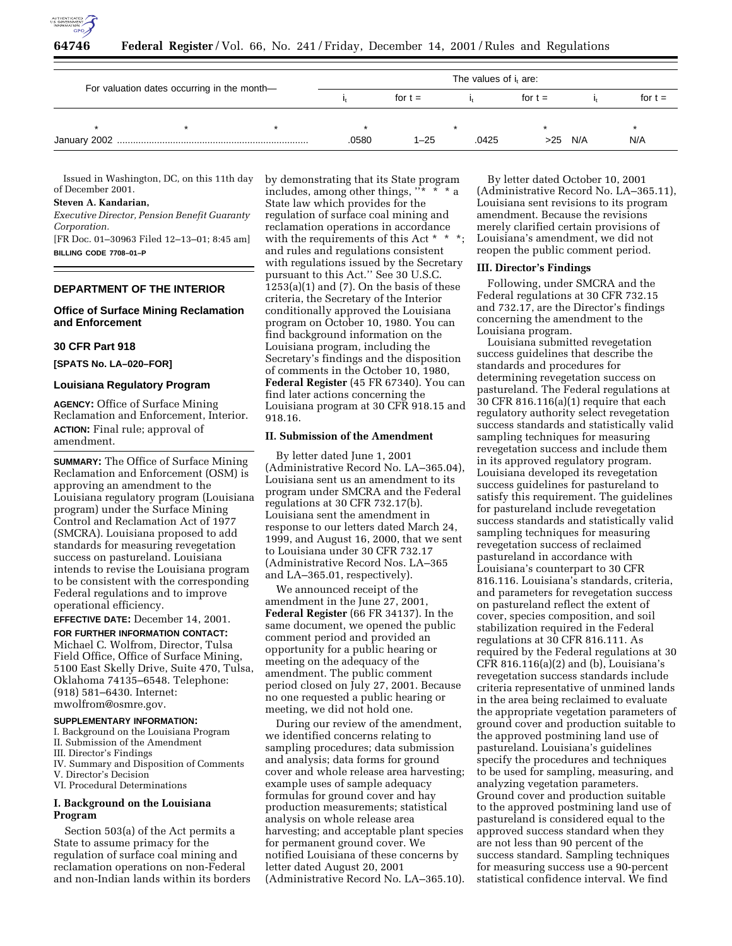

| For valuation dates occurring in the month- |  |  | The values of i <sub>t</sub> are: |           |       |           |           |           |  |
|---------------------------------------------|--|--|-----------------------------------|-----------|-------|-----------|-----------|-----------|--|
|                                             |  |  |                                   | for $t =$ |       | for $t =$ |           | for $t =$ |  |
|                                             |  |  |                                   |           |       |           |           |           |  |
|                                             |  |  | .0580                             | $1 - 25$  | .0425 |           | $>25$ N/A | N/A       |  |

Issued in Washington, DC, on this 11th day of December 2001.

#### **Steven A. Kandarian,**

*Executive Director, Pension Benefit Guaranty Corporation.*

[FR Doc. 01–30963 Filed 12–13–01; 8:45 am] **BILLING CODE 7708–01–P**

# **DEPARTMENT OF THE INTERIOR**

#### **Office of Surface Mining Reclamation and Enforcement**

#### **30 CFR Part 918**

**[SPATS No. LA–020–FOR]**

#### **Louisiana Regulatory Program**

**AGENCY:** Office of Surface Mining Reclamation and Enforcement, Interior. **ACTION:** Final rule; approval of amendment.

**SUMMARY:** The Office of Surface Mining Reclamation and Enforcement (OSM) is approving an amendment to the Louisiana regulatory program (Louisiana program) under the Surface Mining Control and Reclamation Act of 1977 (SMCRA). Louisiana proposed to add standards for measuring revegetation success on pastureland. Louisiana intends to revise the Louisiana program to be consistent with the corresponding Federal regulations and to improve operational efficiency.

**EFFECTIVE DATE:** December 14, 2001. **FOR FURTHER INFORMATION CONTACT:** Michael C. Wolfrom, Director, Tulsa Field Office, Office of Surface Mining, 5100 East Skelly Drive, Suite 470, Tulsa, Oklahoma 74135–6548. Telephone: (918) 581–6430. Internet: mwolfrom@osmre.gov.

# **SUPPLEMENTARY INFORMATION:**

I. Background on the Louisiana Program

- II. Submission of the Amendment
- III. Director's Findings
- IV. Summary and Disposition of Comments
- V. Director's Decision VI. Procedural Determinations

#### **I. Background on the Louisiana Program**

Section 503(a) of the Act permits a State to assume primacy for the regulation of surface coal mining and reclamation operations on non-Federal and non-Indian lands within its borders by demonstrating that its State program includes, among other things,  $\frac{1}{1}$   $\frac{1}{1}$   $\frac{1}{1}$   $\frac{1}{1}$   $\frac{1}{1}$   $\frac{1}{1}$   $\frac{1}{1}$   $\frac{1}{1}$   $\frac{1}{1}$ State law which provides for the regulation of surface coal mining and reclamation operations in accordance with the requirements of this Act \* and rules and regulations consistent with regulations issued by the Secretary pursuant to this Act.'' See 30 U.S.C.  $1253(a)(1)$  and  $(7)$ . On the basis of these criteria, the Secretary of the Interior conditionally approved the Louisiana program on October 10, 1980. You can find background information on the Louisiana program, including the Secretary's findings and the disposition of comments in the October 10, 1980, **Federal Register** (45 FR 67340). You can find later actions concerning the Louisiana program at 30 CFR 918.15 and 918.16.

#### **II. Submission of the Amendment**

By letter dated June 1, 2001 (Administrative Record No. LA–365.04), Louisiana sent us an amendment to its program under SMCRA and the Federal regulations at 30 CFR 732.17(b). Louisiana sent the amendment in response to our letters dated March 24, 1999, and August 16, 2000, that we sent to Louisiana under 30 CFR 732.17 (Administrative Record Nos. LA–365 and LA–365.01, respectively).

We announced receipt of the amendment in the June 27, 2001, **Federal Register** (66 FR 34137). In the same document, we opened the public comment period and provided an opportunity for a public hearing or meeting on the adequacy of the amendment. The public comment period closed on July 27, 2001. Because no one requested a public hearing or meeting, we did not hold one.

During our review of the amendment, we identified concerns relating to sampling procedures; data submission and analysis; data forms for ground cover and whole release area harvesting; example uses of sample adequacy formulas for ground cover and hay production measurements; statistical analysis on whole release area harvesting; and acceptable plant species for permanent ground cover. We notified Louisiana of these concerns by letter dated August 20, 2001 (Administrative Record No. LA–365.10).

By letter dated October 10, 2001 (Administrative Record No. LA–365.11), Louisiana sent revisions to its program amendment. Because the revisions merely clarified certain provisions of Louisiana's amendment, we did not reopen the public comment period.

#### **III. Director's Findings**

Following, under SMCRA and the Federal regulations at 30 CFR 732.15 and 732.17, are the Director's findings concerning the amendment to the Louisiana program.

Louisiana submitted revegetation success guidelines that describe the standards and procedures for determining revegetation success on pastureland. The Federal regulations at 30 CFR 816.116(a)(1) require that each regulatory authority select revegetation success standards and statistically valid sampling techniques for measuring revegetation success and include them in its approved regulatory program. Louisiana developed its revegetation success guidelines for pastureland to satisfy this requirement. The guidelines for pastureland include revegetation success standards and statistically valid sampling techniques for measuring revegetation success of reclaimed pastureland in accordance with Louisiana's counterpart to 30 CFR 816.116. Louisiana's standards, criteria, and parameters for revegetation success on pastureland reflect the extent of cover, species composition, and soil stabilization required in the Federal regulations at 30 CFR 816.111. As required by the Federal regulations at 30 CFR 816.116(a)(2) and (b), Louisiana's revegetation success standards include criteria representative of unmined lands in the area being reclaimed to evaluate the appropriate vegetation parameters of ground cover and production suitable to the approved postmining land use of pastureland. Louisiana's guidelines specify the procedures and techniques to be used for sampling, measuring, and analyzing vegetation parameters. Ground cover and production suitable to the approved postmining land use of pastureland is considered equal to the approved success standard when they are not less than 90 percent of the success standard. Sampling techniques for measuring success use a 90-percent statistical confidence interval. We find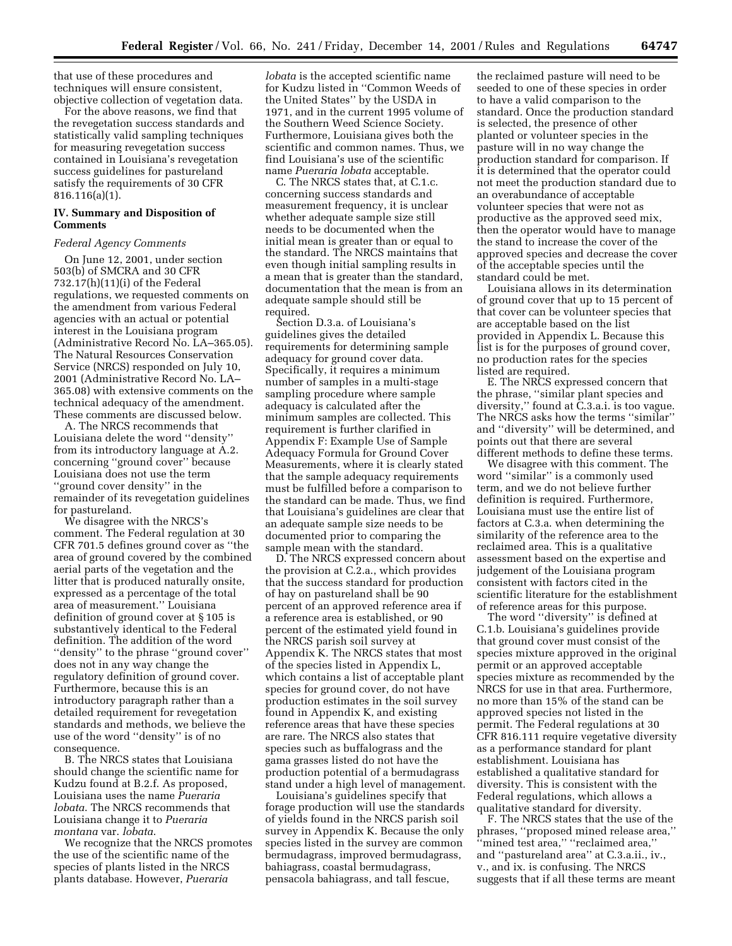that use of these procedures and techniques will ensure consistent, objective collection of vegetation data.

For the above reasons, we find that the revegetation success standards and statistically valid sampling techniques for measuring revegetation success contained in Louisiana's revegetation success guidelines for pastureland satisfy the requirements of 30 CFR 816.116(a)(1).

#### **IV. Summary and Disposition of Comments**

#### *Federal Agency Comments*

On June 12, 2001, under section 503(b) of SMCRA and 30 CFR 732.17(h)(11)(i) of the Federal regulations, we requested comments on the amendment from various Federal agencies with an actual or potential interest in the Louisiana program (Administrative Record No. LA–365.05). The Natural Resources Conservation Service (NRCS) responded on July 10, 2001 (Administrative Record No. LA– 365.08) with extensive comments on the technical adequacy of the amendment. These comments are discussed below.

A. The NRCS recommends that Louisiana delete the word ''density'' from its introductory language at A.2. concerning ''ground cover'' because Louisiana does not use the term ''ground cover density'' in the remainder of its revegetation guidelines for pastureland.

We disagree with the NRCS's comment. The Federal regulation at 30 CFR 701.5 defines ground cover as ''the area of ground covered by the combined aerial parts of the vegetation and the litter that is produced naturally onsite, expressed as a percentage of the total area of measurement.'' Louisiana definition of ground cover at § 105 is substantively identical to the Federal definition. The addition of the word ''density'' to the phrase ''ground cover'' does not in any way change the regulatory definition of ground cover. Furthermore, because this is an introductory paragraph rather than a detailed requirement for revegetation standards and methods, we believe the use of the word ''density'' is of no consequence.

B. The NRCS states that Louisiana should change the scientific name for Kudzu found at B.2.f. As proposed, Louisiana uses the name *Pueraria lobata*. The NRCS recommends that Louisiana change it to *Pueraria montana* var. *lobata*.

We recognize that the NRCS promotes the use of the scientific name of the species of plants listed in the NRCS plants database. However, *Pueraria*

*lobata* is the accepted scientific name for Kudzu listed in ''Common Weeds of the United States'' by the USDA in 1971, and in the current 1995 volume of the Southern Weed Science Society. Furthermore, Louisiana gives both the scientific and common names. Thus, we find Louisiana's use of the scientific name *Pueraria lobata* acceptable.

C. The NRCS states that, at C.1.c. concerning success standards and measurement frequency, it is unclear whether adequate sample size still needs to be documented when the initial mean is greater than or equal to the standard. The NRCS maintains that even though initial sampling results in a mean that is greater than the standard, documentation that the mean is from an adequate sample should still be required.

Section D.3.a. of Louisiana's guidelines gives the detailed requirements for determining sample adequacy for ground cover data. Specifically, it requires a minimum number of samples in a multi-stage sampling procedure where sample adequacy is calculated after the minimum samples are collected. This requirement is further clarified in Appendix F: Example Use of Sample Adequacy Formula for Ground Cover Measurements, where it is clearly stated that the sample adequacy requirements must be fulfilled before a comparison to the standard can be made. Thus, we find that Louisiana's guidelines are clear that an adequate sample size needs to be documented prior to comparing the sample mean with the standard.

D. The NRCS expressed concern about the provision at C.2.a., which provides that the success standard for production of hay on pastureland shall be 90 percent of an approved reference area if a reference area is established, or 90 percent of the estimated yield found in the NRCS parish soil survey at Appendix K. The NRCS states that most of the species listed in Appendix L, which contains a list of acceptable plant species for ground cover, do not have production estimates in the soil survey found in Appendix K, and existing reference areas that have these species are rare. The NRCS also states that species such as buffalograss and the gama grasses listed do not have the production potential of a bermudagrass stand under a high level of management.

Louisiana's guidelines specify that forage production will use the standards of yields found in the NRCS parish soil survey in Appendix K. Because the only species listed in the survey are common bermudagrass, improved bermudagrass, bahiagrass, coastal bermudagrass, pensacola bahiagrass, and tall fescue,

the reclaimed pasture will need to be seeded to one of these species in order to have a valid comparison to the standard. Once the production standard is selected, the presence of other planted or volunteer species in the pasture will in no way change the production standard for comparison. If it is determined that the operator could not meet the production standard due to an overabundance of acceptable volunteer species that were not as productive as the approved seed mix, then the operator would have to manage the stand to increase the cover of the approved species and decrease the cover of the acceptable species until the standard could be met.

Louisiana allows in its determination of ground cover that up to 15 percent of that cover can be volunteer species that are acceptable based on the list provided in Appendix L. Because this list is for the purposes of ground cover, no production rates for the species listed are required.

E. The NRCS expressed concern that the phrase, ''similar plant species and diversity,'' found at C.3.a.i. is too vague. The NRCS asks how the terms ''similar'' and ''diversity'' will be determined, and points out that there are several different methods to define these terms.

We disagree with this comment. The word ''similar'' is a commonly used term, and we do not believe further definition is required. Furthermore, Louisiana must use the entire list of factors at C.3.a. when determining the similarity of the reference area to the reclaimed area. This is a qualitative assessment based on the expertise and judgement of the Louisiana program consistent with factors cited in the scientific literature for the establishment of reference areas for this purpose.

The word ''diversity'' is defined at C.1.b. Louisiana's guidelines provide that ground cover must consist of the species mixture approved in the original permit or an approved acceptable species mixture as recommended by the NRCS for use in that area. Furthermore, no more than 15% of the stand can be approved species not listed in the permit. The Federal regulations at 30 CFR 816.111 require vegetative diversity as a performance standard for plant establishment. Louisiana has established a qualitative standard for diversity. This is consistent with the Federal regulations, which allows a qualitative standard for diversity.

F. The NRCS states that the use of the phrases, ''proposed mined release area,'' ''mined test area,'' ''reclaimed area,'' and ''pastureland area'' at C.3.a.ii., iv., v., and ix. is confusing. The NRCS suggests that if all these terms are meant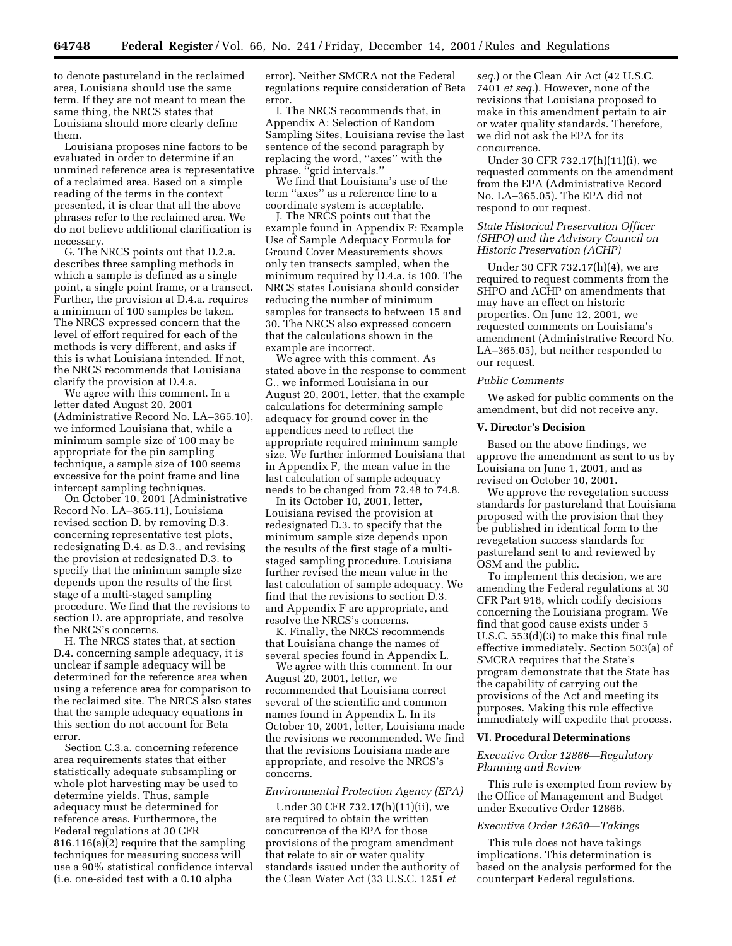to denote pastureland in the reclaimed area, Louisiana should use the same term. If they are not meant to mean the same thing, the NRCS states that Louisiana should more clearly define them.

Louisiana proposes nine factors to be evaluated in order to determine if an unmined reference area is representative of a reclaimed area. Based on a simple reading of the terms in the context presented, it is clear that all the above phrases refer to the reclaimed area. We do not believe additional clarification is necessary.

G. The NRCS points out that D.2.a. describes three sampling methods in which a sample is defined as a single point, a single point frame, or a transect. Further, the provision at D.4.a. requires a minimum of 100 samples be taken. The NRCS expressed concern that the level of effort required for each of the methods is very different, and asks if this is what Louisiana intended. If not, the NRCS recommends that Louisiana clarify the provision at D.4.a.

We agree with this comment. In a letter dated August 20, 2001 (Administrative Record No. LA–365.10), we informed Louisiana that, while a minimum sample size of 100 may be appropriate for the pin sampling technique, a sample size of 100 seems excessive for the point frame and line intercept sampling techniques.

On October 10, 2001 (Administrative Record No. LA–365.11), Louisiana revised section D. by removing D.3. concerning representative test plots, redesignating D.4. as D.3., and revising the provision at redesignated D.3. to specify that the minimum sample size depends upon the results of the first stage of a multi-staged sampling procedure. We find that the revisions to section D. are appropriate, and resolve the NRCS's concerns.

H. The NRCS states that, at section D.4. concerning sample adequacy, it is unclear if sample adequacy will be determined for the reference area when using a reference area for comparison to the reclaimed site. The NRCS also states that the sample adequacy equations in this section do not account for Beta error.

Section C.3.a. concerning reference area requirements states that either statistically adequate subsampling or whole plot harvesting may be used to determine yields. Thus, sample adequacy must be determined for reference areas. Furthermore, the Federal regulations at 30 CFR 816.116(a)(2) require that the sampling techniques for measuring success will use a 90% statistical confidence interval (i.e. one-sided test with a 0.10 alpha

error). Neither SMCRA not the Federal regulations require consideration of Beta error.

I. The NRCS recommends that, in Appendix A: Selection of Random Sampling Sites, Louisiana revise the last sentence of the second paragraph by replacing the word, ''axes'' with the phrase, ''grid intervals.''

We find that Louisiana's use of the term ''axes'' as a reference line to a coordinate system is acceptable.

J. The NRCS points out that the example found in Appendix F: Example Use of Sample Adequacy Formula for Ground Cover Measurements shows only ten transects sampled, when the minimum required by D.4.a. is 100. The NRCS states Louisiana should consider reducing the number of minimum samples for transects to between 15 and 30. The NRCS also expressed concern that the calculations shown in the example are incorrect.

We agree with this comment. As stated above in the response to comment G., we informed Louisiana in our August 20, 2001, letter, that the example calculations for determining sample adequacy for ground cover in the appendices need to reflect the appropriate required minimum sample size. We further informed Louisiana that in Appendix F, the mean value in the last calculation of sample adequacy needs to be changed from 72.48 to 74.8.

In its October 10, 2001, letter, Louisiana revised the provision at redesignated D.3. to specify that the minimum sample size depends upon the results of the first stage of a multistaged sampling procedure. Louisiana further revised the mean value in the last calculation of sample adequacy. We find that the revisions to section D.3. and Appendix F are appropriate, and resolve the NRCS's concerns.

K. Finally, the NRCS recommends that Louisiana change the names of several species found in Appendix L.

We agree with this comment. In our August 20, 2001, letter, we recommended that Louisiana correct several of the scientific and common names found in Appendix L. In its October 10, 2001, letter, Louisiana made the revisions we recommended. We find that the revisions Louisiana made are appropriate, and resolve the NRCS's concerns.

#### *Environmental Protection Agency (EPA)*

Under 30 CFR 732.17(h)(11)(ii), we are required to obtain the written concurrence of the EPA for those provisions of the program amendment that relate to air or water quality standards issued under the authority of the Clean Water Act (33 U.S.C. 1251 *et*

*seq.*) or the Clean Air Act (42 U.S.C. 7401 *et seq.*). However, none of the revisions that Louisiana proposed to make in this amendment pertain to air or water quality standards. Therefore, we did not ask the EPA for its concurrence.

Under 30 CFR 732.17(h)(11)(i), we requested comments on the amendment from the EPA (Administrative Record No. LA–365.05). The EPA did not respond to our request.

#### *State Historical Preservation Officer (SHPO) and the Advisory Council on Historic Preservation (ACHP)*

Under 30 CFR 732.17(h)(4), we are required to request comments from the SHPO and ACHP on amendments that may have an effect on historic properties. On June 12, 2001, we requested comments on Louisiana's amendment (Administrative Record No. LA–365.05), but neither responded to our request.

#### *Public Comments*

We asked for public comments on the amendment, but did not receive any.

#### **V. Director's Decision**

Based on the above findings, we approve the amendment as sent to us by Louisiana on June 1, 2001, and as revised on October 10, 2001.

We approve the revegetation success standards for pastureland that Louisiana proposed with the provision that they be published in identical form to the revegetation success standards for pastureland sent to and reviewed by OSM and the public.

To implement this decision, we are amending the Federal regulations at 30 CFR Part 918, which codify decisions concerning the Louisiana program. We find that good cause exists under 5 U.S.C. 553(d)(3) to make this final rule effective immediately. Section 503(a) of SMCRA requires that the State's program demonstrate that the State has the capability of carrying out the provisions of the Act and meeting its purposes. Making this rule effective immediately will expedite that process.

#### **VI. Procedural Determinations**

# *Executive Order 12866—Regulatory Planning and Review*

This rule is exempted from review by the Office of Management and Budget under Executive Order 12866.

#### *Executive Order 12630—Takings*

This rule does not have takings implications. This determination is based on the analysis performed for the counterpart Federal regulations.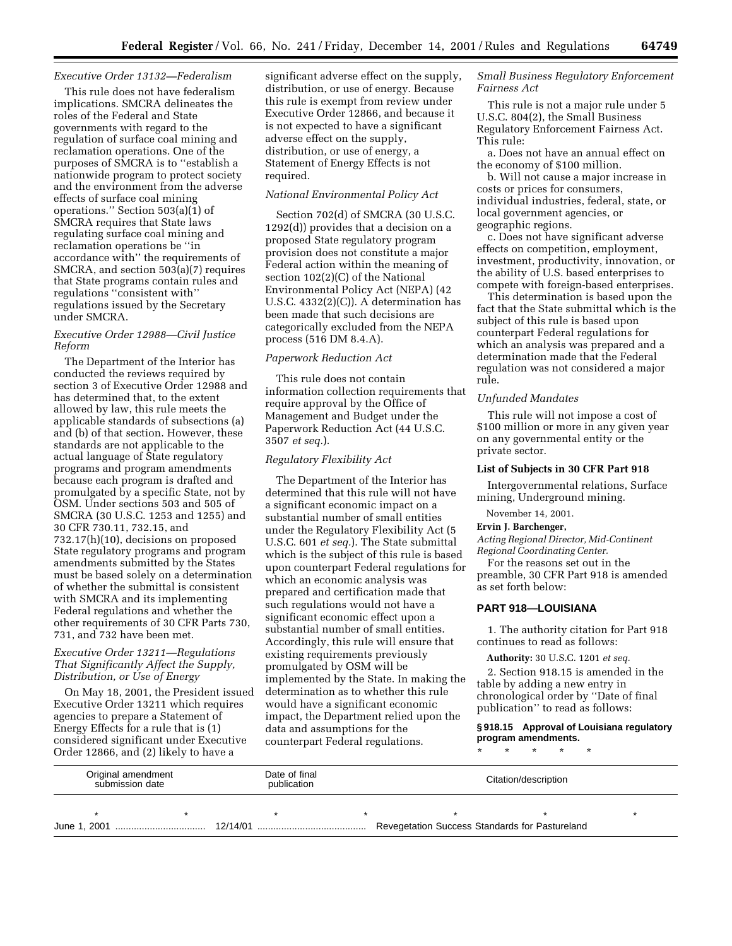#### *Executive Order 13132—Federalism*

This rule does not have federalism implications. SMCRA delineates the roles of the Federal and State governments with regard to the regulation of surface coal mining and reclamation operations. One of the purposes of SMCRA is to ''establish a nationwide program to protect society and the environment from the adverse effects of surface coal mining operations.'' Section 503(a)(1) of SMCRA requires that State laws regulating surface coal mining and reclamation operations be ''in accordance with'' the requirements of SMCRA, and section 503(a)(7) requires that State programs contain rules and regulations ''consistent with'' regulations issued by the Secretary under SMCRA.

# *Executive Order 12988—Civil Justice Reform*

The Department of the Interior has conducted the reviews required by section 3 of Executive Order 12988 and has determined that, to the extent allowed by law, this rule meets the applicable standards of subsections (a) and (b) of that section. However, these standards are not applicable to the actual language of State regulatory programs and program amendments because each program is drafted and promulgated by a specific State, not by OSM. Under sections 503 and 505 of SMCRA (30 U.S.C. 1253 and 1255) and 30 CFR 730.11, 732.15, and 732.17(h)(10), decisions on proposed State regulatory programs and program amendments submitted by the States must be based solely on a determination of whether the submittal is consistent with SMCRA and its implementing Federal regulations and whether the other requirements of 30 CFR Parts 730, 731, and 732 have been met.

#### *Executive Order 13211—Regulations That Significantly Affect the Supply, Distribution, or Use of Energy*

On May 18, 2001, the President issued Executive Order 13211 which requires agencies to prepare a Statement of Energy Effects for a rule that is (1) considered significant under Executive Order 12866, and (2) likely to have a

significant adverse effect on the supply, distribution, or use of energy. Because this rule is exempt from review under Executive Order 12866, and because it is not expected to have a significant adverse effect on the supply, distribution, or use of energy, a Statement of Energy Effects is not required.

#### *National Environmental Policy Act*

Section 702(d) of SMCRA (30 U.S.C. 1292(d)) provides that a decision on a proposed State regulatory program provision does not constitute a major Federal action within the meaning of section 102(2)(C) of the National Environmental Policy Act (NEPA) (42 U.S.C. 4332(2)(C)). A determination has been made that such decisions are categorically excluded from the NEPA process (516 DM 8.4.A).

#### *Paperwork Reduction Act*

This rule does not contain information collection requirements that require approval by the Office of Management and Budget under the Paperwork Reduction Act (44 U.S.C. 3507 *et seq.*).

#### *Regulatory Flexibility Act*

The Department of the Interior has determined that this rule will not have a significant economic impact on a substantial number of small entities under the Regulatory Flexibility Act (5 U.S.C. 601 *et seq.*). The State submittal which is the subject of this rule is based upon counterpart Federal regulations for which an economic analysis was prepared and certification made that such regulations would not have a significant economic effect upon a substantial number of small entities. Accordingly, this rule will ensure that existing requirements previously promulgated by OSM will be implemented by the State. In making the determination as to whether this rule would have a significant economic impact, the Department relied upon the data and assumptions for the counterpart Federal regulations.

# *Small Business Regulatory Enforcement Fairness Act*

This rule is not a major rule under 5 U.S.C. 804(2), the Small Business Regulatory Enforcement Fairness Act. This rule:

a. Does not have an annual effect on the economy of \$100 million.

b. Will not cause a major increase in costs or prices for consumers, individual industries, federal, state, or local government agencies, or geographic regions.

c. Does not have significant adverse effects on competition, employment, investment, productivity, innovation, or the ability of U.S. based enterprises to compete with foreign-based enterprises.

This determination is based upon the fact that the State submittal which is the subject of this rule is based upon counterpart Federal regulations for which an analysis was prepared and a determination made that the Federal regulation was not considered a major rule.

# *Unfunded Mandates*

This rule will not impose a cost of \$100 million or more in any given year on any governmental entity or the private sector.

#### **List of Subjects in 30 CFR Part 918**

Intergovernmental relations, Surface mining, Underground mining.

November 14, 2001.

# **Ervin J. Barchenger,**

*Acting Regional Director, Mid-Continent Regional Coordinating Center.*

For the reasons set out in the preamble, 30 CFR Part 918 is amended as set forth below:

#### **PART 918—LOUISIANA**

1. The authority citation for Part 918 continues to read as follows:

#### **Authority:** 30 U.S.C. 1201 *et seq.*

2. Section 918.15 is amended in the table by adding a new entry in chronological order by ''Date of final publication'' to read as follows:

**§ 918.15 Approval of Louisiana regulatory program amendments.**

\* \* \* \* \*

| Original amendment<br>submission date |  | Date of final<br>publication | Citation/description                           |  |  |  |
|---------------------------------------|--|------------------------------|------------------------------------------------|--|--|--|
|                                       |  |                              |                                                |  |  |  |
|                                       |  |                              | Revegetation Success Standards for Pastureland |  |  |  |